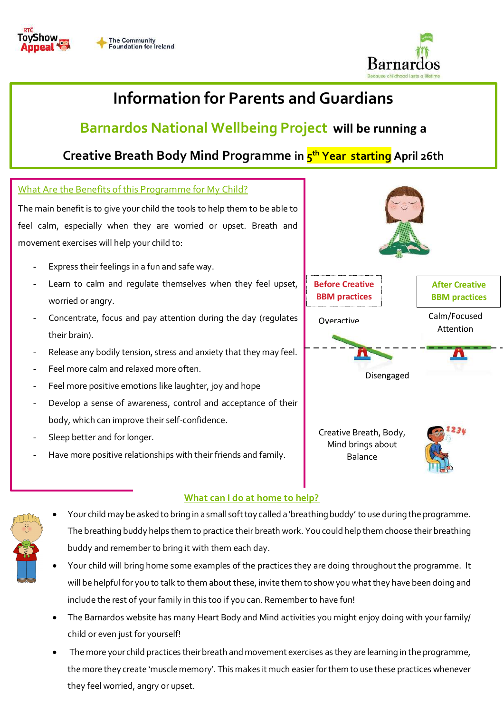



# **Information for Parents and Guardians**

## **Barnardos National Wellbeing Project will be running a**

## **Creative Breath Body Mind Programme in 5 th Year starting April 26th**

### What Are the Benefits of this Programme for My Child?

The main benefit is to give your child the tools to help them to be able to feel calm, especially when they are worried or upset. Breath and movement exercises will help your child to:

- Express their feelings in a fun and safe way.
- Learn to calm and regulate themselves when they feel upset, worried or angry.
- Concentrate, focus and pay attention during the day (regulates their brain).
- Release any bodily tension, stress and anxiety that they may feel.
- Feel more calm and relaxed more often.
- Feel more positive emotions like laughter, joy and hope
- Develop a sense of awareness, control and acceptance of their body, which can improve their self-confidence.
- Sleep better and for longer.
- Have more positive relationships with their friends and family.



Creative Breath, Body, Mind brings about Balance



### **What can I do at home to help?**

- Your child may be asked to bring in a small soft toy called a 'breathing buddy' to use during the programme. The breathing buddy helps them to practice their breath work. You could help them choose their breathing buddy and remember to bring it with them each day.
- Your child will bring home some examples of the practices they are doing throughout the programme. It will be helpfulfor you to talk to them about these, invite them to show you what they have been doing and include the rest of your family in this too if you can. Remember to have fun!
- The Barnardos website has many Heart Body and Mind activities you might enjoy doing with your family/ child or even just for yourself!
- The more your child practices their breath and movement exercises as they are learning in the programme, the more they create 'muscle memory'. This makes it much easier for them to use these practices whenever they feel worried, angry or upset.